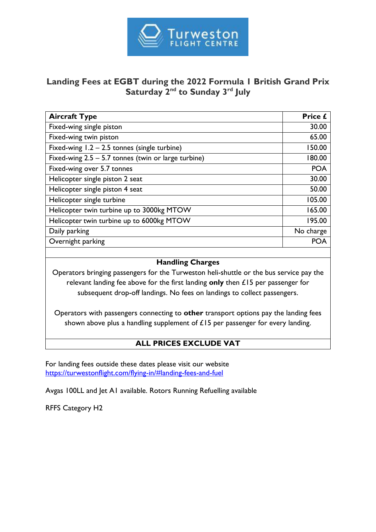

# **Landing Fees at EGBT during the 2022 Formula 1 British Grand Prix**  Saturday 2<sup>nd</sup> to Sunday 3<sup>rd</sup> July

| <b>Aircraft Type</b>                                  | Price £    |
|-------------------------------------------------------|------------|
| Fixed-wing single piston                              | 30.00      |
| Fixed-wing twin piston                                | 65.00      |
| Fixed-wing $1.2 - 2.5$ tonnes (single turbine)        | 150.00     |
| Fixed-wing $2.5 - 5.7$ tonnes (twin or large turbine) | 180.00     |
| Fixed-wing over 5.7 tonnes                            | <b>POA</b> |
| Helicopter single piston 2 seat                       | 30.00      |
| Helicopter single piston 4 seat                       | 50.00      |
| Helicopter single turbine                             | 105.00     |
| Helicopter twin turbine up to 3000kg MTOW             | 165.00     |
| Helicopter twin turbine up to 6000kg MTOW             | 195.00     |
| Daily parking                                         | No charge  |
| Overnight parking                                     | POA        |
|                                                       |            |

## **Handling Charges**

Operators bringing passengers for the Turweston heli-shuttle or the bus service pay the relevant landing fee above for the first landing **only** then £15 per passenger for subsequent drop-off landings. No fees on landings to collect passengers.

Operators with passengers connecting to **other** transport options pay the landing fees shown above plus a handling supplement of  $£15$  per passenger for every landing.

# **ALL PRICES EXCLUDE VAT**

For landing fees outside these dates please visit our website <https://turwestonflight.com/flying-in/#landing-fees-and-fuel>

Avgas 100LL and Jet A1 available. Rotors Running Refuelling available

RFFS Category H2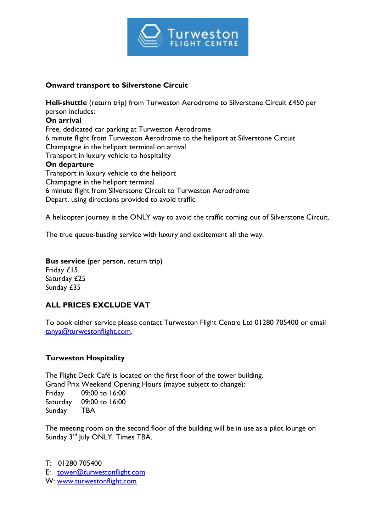

### **Onward transport to Silverstone Circuit**

**Heli-shuttle** (return trip) from Turweston Aerodrome to Silverstone Circuit £450 per person includes: **On arrival** Free, dedicated car parking at Turweston Aerodrome 6 minute flight from Turweston Aerodrome to the heliport at Silverstone Circuit Champagne in the heliport terminal on arrival Transport in luxury vehicle to hospitality **On departure** Transport in luxury vehicle to the heliport Champagne in the heliport terminal 6 minute flight from Silverstone Circuit to Turweston Aerodrome Depart, using directions provided to avoid traffic

A helicopter journey is the ONLY way to avoid the traffic coming out of Silverstone Circuit.

The true queue-busting service with luxury and excitement all the way.

**Bus service** (per person, return trip) Friday £15 Saturday £25 Sunday £35

# **ALL PRICES EXCLUDE VAT**

To book either service please contact Turweston Flight Centre Ltd 01280 705400 or email [tanya@turwestonflight.com.](mailto:tanya@turwestonflight.com)

## **Turweston Hospitality**

The Flight Deck Café is located on the first floor of the tower building. Grand Prix Weekend Opening Hours (maybe subject to change): Friday 09:00 to 16:00 Saturday 09:00 to 16:00 Sunday TBA

The meeting room on the second floor of the building will be in use as a pilot lounge on Sunday 3<sup>rd</sup> July ONLY. Times TBA.

T: 01280 705400 E: [tower@turwestonflight.com](mailto:tower@turwestonflight.com)  W: [www.turwestonflight.com](http://www.turwestonflight.com/)